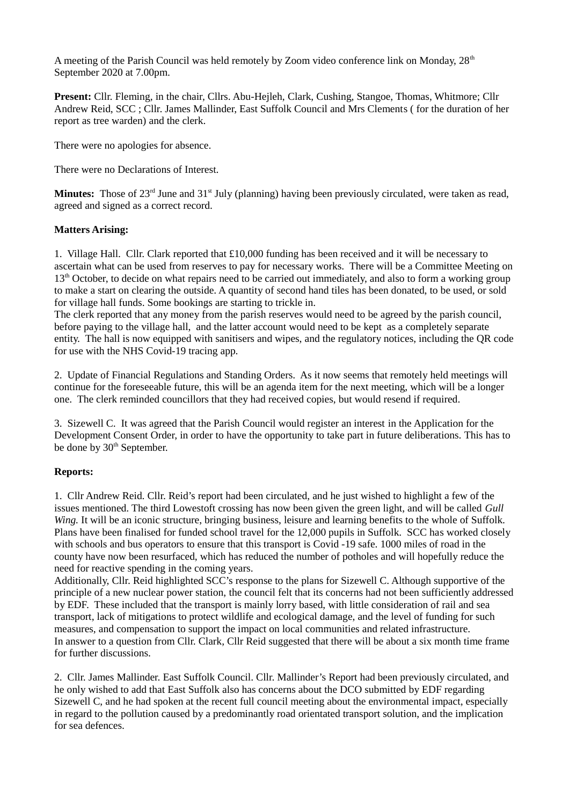A meeting of the Parish Council was held remotely by Zoom video conference link on Monday,  $28<sup>th</sup>$ September 2020 at 7.00pm.

**Present:** Cllr. Fleming, in the chair, Cllrs. Abu-Hejleh, Clark, Cushing, Stangoe, Thomas, Whitmore; Cllr Andrew Reid, SCC ; Cllr. James Mallinder, East Suffolk Council and Mrs Clements ( for the duration of her report as tree warden) and the clerk.

There were no apologies for absence.

There were no Declarations of Interest.

**Minutes:** Those of 23<sup>rd</sup> June and 31<sup>st</sup> July (planning) having been previously circulated, were taken as read, agreed and signed as a correct record.

## **Matters Arising:**

1. Village Hall. Cllr. Clark reported that £10,000 funding has been received and it will be necessary to ascertain what can be used from reserves to pay for necessary works. There will be a Committee Meeting on  $13<sup>th</sup>$  October, to decide on what repairs need to be carried out immediately, and also to form a working group to make a start on clearing the outside. A quantity of second hand tiles has been donated, to be used, or sold for village hall funds. Some bookings are starting to trickle in.

The clerk reported that any money from the parish reserves would need to be agreed by the parish council, before paying to the village hall, and the latter account would need to be kept as a completely separate entity. The hall is now equipped with sanitisers and wipes, and the regulatory notices, including the QR code for use with the NHS Covid-19 tracing app.

2. Update of Financial Regulations and Standing Orders. As it now seems that remotely held meetings will continue for the foreseeable future, this will be an agenda item for the next meeting, which will be a longer one. The clerk reminded councillors that they had received copies, but would resend if required.

3. Sizewell C. It was agreed that the Parish Council would register an interest in the Application for the Development Consent Order, in order to have the opportunity to take part in future deliberations. This has to be done by 30<sup>th</sup> September.

# **Reports:**

1. Cllr Andrew Reid. Cllr. Reid's report had been circulated, and he just wished to highlight a few of the issues mentioned. The third Lowestoft crossing has now been given the green light, and will be called *Gull Wing.* It will be an iconic structure, bringing business, leisure and learning benefits to the whole of Suffolk. Plans have been finalised for funded school travel for the 12,000 pupils in Suffolk. SCC has worked closely with schools and bus operators to ensure that this transport is Covid -19 safe. 1000 miles of road in the county have now been resurfaced, which has reduced the number of potholes and will hopefully reduce the need for reactive spending in the coming years.

Additionally, Cllr. Reid highlighted SCC's response to the plans for Sizewell C. Although supportive of the principle of a new nuclear power station, the council felt that its concerns had not been sufficiently addressed by EDF. These included that the transport is mainly lorry based, with little consideration of rail and sea transport, lack of mitigations to protect wildlife and ecological damage, and the level of funding for such measures, and compensation to support the impact on local communities and related infrastructure. In answer to a question from Cllr. Clark, Cllr Reid suggested that there will be about a six month time frame for further discussions.

2. Cllr. James Mallinder. East Suffolk Council. Cllr. Mallinder's Report had been previously circulated, and he only wished to add that East Suffolk also has concerns about the DCO submitted by EDF regarding Sizewell C, and he had spoken at the recent full council meeting about the environmental impact, especially in regard to the pollution caused by a predominantly road orientated transport solution, and the implication for sea defences.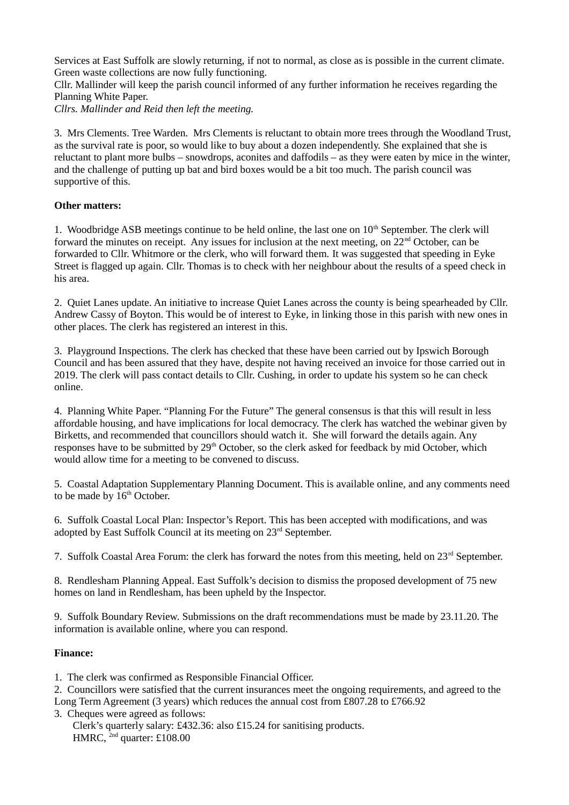Services at East Suffolk are slowly returning, if not to normal, as close as is possible in the current climate. Green waste collections are now fully functioning.

Cllr. Mallinder will keep the parish council informed of any further information he receives regarding the Planning White Paper.

*Cllrs. Mallinder and Reid then left the meeting.*

3. Mrs Clements. Tree Warden. Mrs Clements is reluctant to obtain more trees through the Woodland Trust, as the survival rate is poor, so would like to buy about a dozen independently. She explained that she is reluctant to plant more bulbs – snowdrops, aconites and daffodils – as they were eaten by mice in the winter, and the challenge of putting up bat and bird boxes would be a bit too much. The parish council was supportive of this.

# **Other matters:**

1. Woodbridge ASB meetings continue to be held online, the last one on  $10<sup>th</sup>$  September. The clerk will forward the minutes on receipt. Any issues for inclusion at the next meeting, on  $22<sup>nd</sup>$  October, can be forwarded to Cllr. Whitmore or the clerk, who will forward them. It was suggested that speeding in Eyke Street is flagged up again. Cllr. Thomas is to check with her neighbour about the results of a speed check in his area.

2. Quiet Lanes update. An initiative to increase Quiet Lanes across the county is being spearheaded by Cllr. Andrew Cassy of Boyton. This would be of interest to Eyke, in linking those in this parish with new ones in other places. The clerk has registered an interest in this.

3. Playground Inspections. The clerk has checked that these have been carried out by Ipswich Borough Council and has been assured that they have, despite not having received an invoice for those carried out in 2019. The clerk will pass contact details to Cllr. Cushing, in order to update his system so he can check online.

4. Planning White Paper. "Planning For the Future" The general consensus is that this will result in less affordable housing, and have implications for local democracy. The clerk has watched the webinar given by Birketts, and recommended that councillors should watch it. She will forward the details again. Any responses have to be submitted by 29<sup>th</sup> October, so the clerk asked for feedback by mid October, which would allow time for a meeting to be convened to discuss.

5. Coastal Adaptation Supplementary Planning Document. This is available online, and any comments need to be made by  $16<sup>th</sup>$  October.

6. Suffolk Coastal Local Plan: Inspector's Report. This has been accepted with modifications, and was adopted by East Suffolk Council at its meeting on 23rd September.

7. Suffolk Coastal Area Forum: the clerk has forward the notes from this meeting, held on 23<sup>rd</sup> September.

8. Rendlesham Planning Appeal. East Suffolk's decision to dismiss the proposed development of 75 new homes on land in Rendlesham, has been upheld by the Inspector.

9. Suffolk Boundary Review. Submissions on the draft recommendations must be made by 23.11.20. The information is available online, where you can respond.

# **Finance:**

- 1. The clerk was confirmed as Responsible Financial Officer.
- 2. Councillors were satisfied that the current insurances meet the ongoing requirements, and agreed to the Long Term Agreement (3 years) which reduces the annual cost from £807.28 to £766.92
- 3. Cheques were agreed as follows:
	- Clerk's quarterly salary: £432.36: also £15.24 for sanitising products. HMRC, <sup>2nd</sup> quarter: £108.00